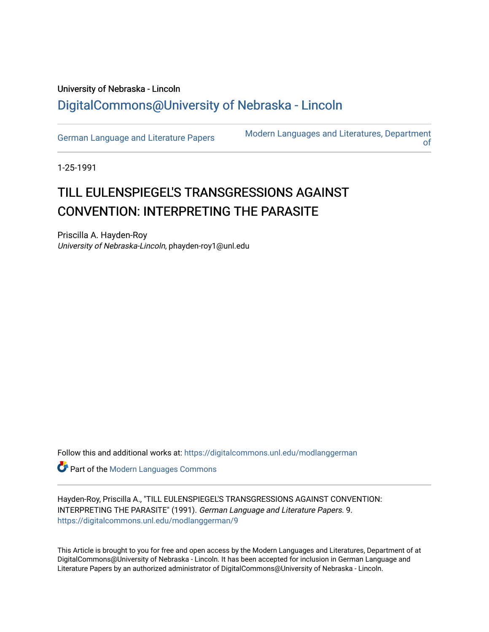# University of Nebraska - Lincoln [DigitalCommons@University of Nebraska - Lincoln](https://digitalcommons.unl.edu/)

[German Language and Literature Papers](https://digitalcommons.unl.edu/modlanggerman) Modern Languages and Literatures, Department [of](https://digitalcommons.unl.edu/modernlanguages) 

1-25-1991

# TILL EULENSPIEGEL'S TRANSGRESSIONS AGAINST CONVENTION: INTERPRETING THE PARASITE

Priscilla A. Hayden-Roy University of Nebraska-Lincoln, phayden-roy1@unl.edu

Follow this and additional works at: [https://digitalcommons.unl.edu/modlanggerman](https://digitalcommons.unl.edu/modlanggerman?utm_source=digitalcommons.unl.edu%2Fmodlanggerman%2F9&utm_medium=PDF&utm_campaign=PDFCoverPages) 

Part of the [Modern Languages Commons](http://network.bepress.com/hgg/discipline/1130?utm_source=digitalcommons.unl.edu%2Fmodlanggerman%2F9&utm_medium=PDF&utm_campaign=PDFCoverPages) 

Hayden-Roy, Priscilla A., "TILL EULENSPIEGEL'S TRANSGRESSIONS AGAINST CONVENTION: INTERPRETING THE PARASITE" (1991). German Language and Literature Papers. 9. [https://digitalcommons.unl.edu/modlanggerman/9](https://digitalcommons.unl.edu/modlanggerman/9?utm_source=digitalcommons.unl.edu%2Fmodlanggerman%2F9&utm_medium=PDF&utm_campaign=PDFCoverPages) 

This Article is brought to you for free and open access by the Modern Languages and Literatures, Department of at DigitalCommons@University of Nebraska - Lincoln. It has been accepted for inclusion in German Language and Literature Papers by an authorized administrator of DigitalCommons@University of Nebraska - Lincoln.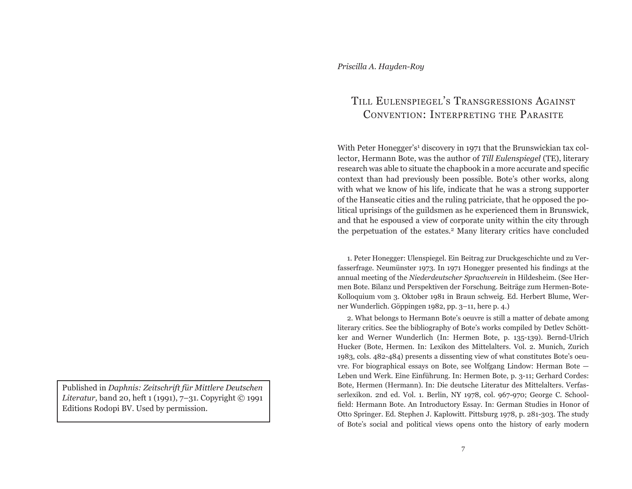# TILL EULENSPIEGEL'S TRANSGRESSIONS AGAINSTCONVENTION: INTERPRETING THE PARASITE

With Peter Honegger's<sup>1</sup> discovery in 1971 that the Brunswickian tax collector, Hermann Bote, was the author of *Till Eulenspiegel* (TE), literary research was able to situate the chapbook in a more accurate and specific context than had previously been possible. Bote's other works, along with what we know of his life, indicate that he was a strong supporter of the Hanseatic cities and the ruling patriciate, that he opposed the political uprisings of the guildsmen as he experienced them in Brunswick, and that he espoused a view of corporate unity within the city through the perpetuation of the estates.2 Many literary critics have concluded

1. Peter Honegger: Ulenspiegel. Ein Beitrag zur Druckgeschichte und zu Verfasserfrage. Neumünster 1973. In 1971 Honegger presented his findings at the annual meeting of the *Niederdeutscher Sprachverein* in Hildesheim. (See Hermen Bote. Bilanz und Perspektiven der Forschung. Beiträge zum Hermen-Bote-Kolloquium vom 3. Oktober 1981 in Braun schweig. Ed. Herbert Blume, Werner Wunderlich. Göppingen 1982, pp. 3–11, here p. 4.)

2. What belongs to Hermann Bote's oeuvre is still a matter of debate among literary critics. See the bibliography of Bote's works compiled by Detlev Schöttker and Werner Wunderlich (In: Hermen Bote, p. 135-139). Bernd-Ulrich Hucker (Bote, Hermen. In: Lexikon des Mittelalters. Vol. 2. Munich, Zurich 1983, cols. 482-484) presents a dissenting view of what constitutes Bote's oeuvre. For biographical essays on Bote, see Wolfgang Lindow: Herman Bote — Leben und Werk. Eine Einführung. In: Hermen Bote, p. 3-11; Gerhard Cordes: Bote, Hermen (Hermann). In: Die deutsche Literatur des Mittelalters. Verfasserlexikon. 2nd ed. Vol. 1. Berlin, NY 1978, col. 967-970; George C. Schoolfield: Hermann Bote. An Introductory Essay. In: German Studies in Honor of Otto Springer. Ed. Stephen J. Kaplowitt. Pittsburg 1978, p. 281-303. The study of Bote's social and political views opens onto the history of early modern

Published in *Daphnis: Zeitschrift für Mittlere Deutschen Literatur,* band 20, heft 1 (1991), 7–31. Copyright © 1991 Editions Rodopi BV. Used by permission.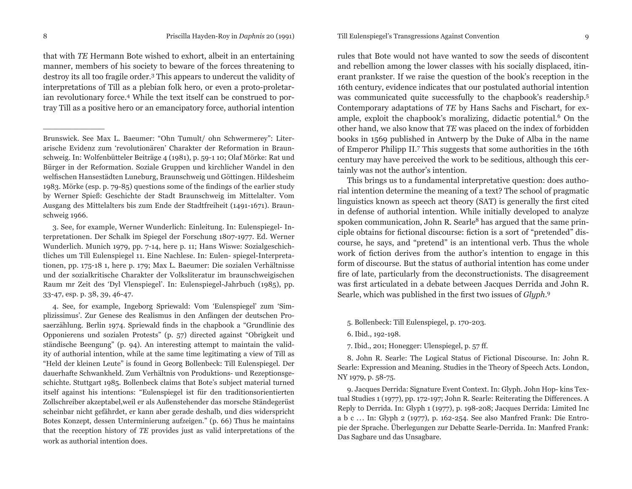#### 8 **Priscilla Hayden-Roy in** *Daphnis* **20 (1991)** Till Eulenspiegel's Transgressions Against Convention 9

that with *TE* Hermann Bote wished to exhort, albeit in an entertaining manner, members of his society to beware of the forces threatening to destroy its all too fragile order.3 This appears to undercut the validity of interpretations of Till as a plebian folk hero, or even a proto-proletarian revolutionary force.4 While the text itself can be construed to portray Till as a positive hero or an emancipatory force, authorial intention

3. See, for example, Werner Wunderlich: Einleitung. In: Eulenspiegel- Interpretationen. Der Schalk im Spiegel der Forschung 1807-1977. Ed. Werner Wunderlich. Munich 1979, pp. 7-14, here p. 11; Hans Wiswe: Sozialgeschichtliches um Till Eulenspiegel 11. Eine Nachlese. In: Eulen- spiegel-Interpretationen, pp. 175-18 1, here p. 179; Max L. Baeumer: Die sozialen Verhältnisse und der sozialkritische Charakter der Volksliteratur im braunschweigischen Raum mr Zeit des 'Dyl Vlenspiegel'. In: Eulenspiegel-Jahrbuch (1985), pp. 33-47, esp. p. 38, 39, 46-47.

4. See, for example, Ingeborg Spriewald: Vom 'Eulenspiegel' zum 'Simplizissimus'. Zur Genese des Realismus in den Anfängen der deutschen Prosaerzählung. Berlin 1974. Spriewald finds in the chapbook a "Grundlinie des Opponierens und sozialen Protests" (p. 57) directed against "Obrigkeit und ständische Beengung" (p. 94). An interesting attempt to maintain the validity of authorial intention, while at the same time legitimating a view of Till as "Held der kleinen Leute" is found in Georg Bollenbeck: Till Eulenspiegel. Der dauerhafte Schwankheld. Zum Verhältnis von Produktions- und Rezeptionsgeschichte. Stuttgart 1985. Bollenbeck claims that Bote's subject material turned itself against his intentions: "Eulenspiegel ist für den traditionsorientierten Zollschreiber akzeptabel,weil er als Außenstehender das morsche Ständegerüst scheinbar nicht gefährdet, er kann aber gerade deshalb, und dies widerspricht Botes Konzept, dessen Unterminierung aufzeigen." (p. 66) Thus he maintains that the reception history of *TE* provides just as valid interpretations of the work as authorial intention does.

rules that Bote would not have wanted to sow the seeds of discontent and rebellion among the lower classes with his socially displaced, itinerant prankster. If we raise the question of the book's reception in the 16th century, evidence indicates that our postulated authorial intention was communicated quite successfully to the chapbook's readership.<sup>5</sup> Contemporary adaptations of *TE* by Hans Sachs and Fischart, for example, exploit the chapbook's moralizing, didactic potential.<sup>6</sup> On the other hand, we also know that *TE* was placed on the index of forbidden books in 1569 published in Antwerp by the Duke of Alba in the name of Emperor Philipp II.7 This suggests that some authorities in the 16th century may have perceived the work to be seditious, although this certainly was not the author's intention.

This brings us to a fundamental interpretative question: does authorial intention determine the meaning of a text? The school of pragmatic linguistics known as speech act theory (SAT) is generally the first cited in defense of authorial intention. While initially developed to analyze spoken communication, John R. Searle<sup>8</sup> has argued that the same principle obtains for fictional discourse: fiction is a sort of "pretended" discourse, he says, and "pretend" is an intentional verb. Thus the whole work of fiction derives from the author's intention to engage in this form of discourse. But the status of authorial intention has come under fire of late, particularly from the deconstructionists. The disagreement was first articulated in a debate between Jacques Derrida and John R. Searle, which was published in the first two issues of *Glyph.*9

5. Bollenbeck: Till Eulenspiegel, p. 170-203.

6. Ibid., 192-198.

7. Ibid., 201; Honegger: Ulenspiegel, p. 57 ff.

8. John R. Searle: The Logical Status of Fictional Discourse. In: John R. Searle: Expression and Meaning. Studies in the Theory of Speech Acts. London, NY 1979, p. 58-75.

9. Jacques Derrida: Signature Event Context. In: Glyph. John Hop- kins Textual Studies 1 (1977), pp. 172-197; John R. Searle: Reiterating the Differences. A Reply to Derrida. In: Glyph 1 (1977), p. 198-208; Jacques Derrida: Limited Inc a b c ... In: Glyph 2 (1977), p. 162-254. See also Manfred Frank: Die Entro<sup>p</sup>ie der Sprache. Überlegungen zur Debatte Searle-Derrida. In: Manfred Frank: Das Sagbare und das Unsagbare.

Brunswick. See Max L. Baeumer: "Ohn Tumult/ ohn Schwermerey": Literarische Evidenz zum 'revolutionären' Charakter der Reformation in Braunschweig. In: Wolfenbütteler Beiträge 4 (1981), p. 59-1 10; Olaf Mörke: Rat und Bürger in der Reformation. Soziale Gruppen und kirchlicher Wandel in den wel fi schen Hansestädten Luneburg, Braunschweig und Göttingen. Hildesheim 1983. Mörke (esp. p. 79-85) questions some of the fi ndings of the earlier study by Werner Spieß: Geschichte der Stadt Braunschweig im Mittelalter. Vom Ausgang des Mittelalters bis zum Ende der Stadtfreiheit (1491-1671). Braunschweig 1966.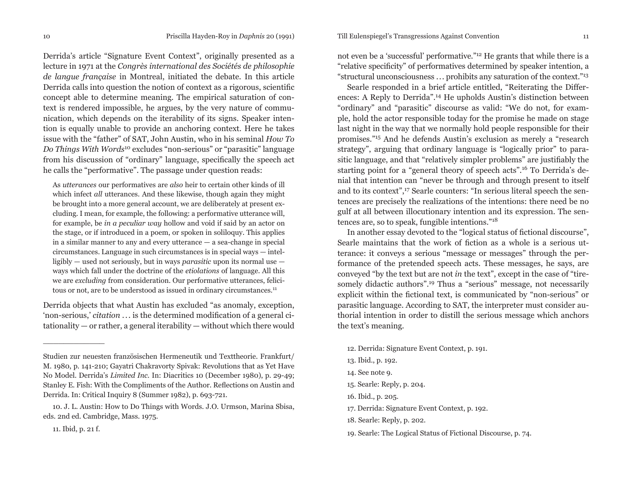### 10 Priscilla Hayden-Roy in *Daphnis* 20 (1991) Till Eulenspiegel's Transgressions Against Convention 11

Derrida's article "Signature Event Context", originally presented as a lecture in 1971 at the *Congrès international des Sociétés de philosophie de langue française* in Montreal, initiated the debate. In this article Derrida calls into question the notion of context as a rigorous, scientific concept able to determine meaning. The empirical saturation of context is rendered impossible, he argues, by the very nature of communication, which depends on the iterability of its signs. Speaker intention is equally unable to provide an anchoring context. Here he takes issue with the "father" of SAT, John Austin, who in his seminal *How To Do Things With Words*<sup>10</sup> excludes "non-serious" or "parasitic" language from his discussion of "ordinary" language, specifically the speech act he calls the "performative". The passage under question reads:

As *utterances* our performatives are *also* heir to certain other kinds of ill which infect *all* utterances. And these likewise, though again they might be brought into a more general account, we are deliberately at present excluding. I mean, for example, the following: a performative utterance will, for example, be *in a peculiar way* hollow and void if said by an actor on the stage, or if introduced in a poem, or spoken in soliloquy. This applies in a similar manner to any and every utterance — a sea-change in special circumstances. Language in such circumstances is in special ways — intelligibly — used not seriously, but in ways *parasitic* upon its normal use ways which fall under the doctrine of the *etiolations* of language. All this we are *excluding* from consideration. Our performative utterances, felicitous or not, are to be understood as issued in ordinary circumstances.11

Derrida objects that what Austin has excluded "as anomaly, exception, 'non-serious,' *citation* ... is the determined modification of a general citationality — or rather, a general iterability — without which there would

not even be a 'successful' performative."12 He grants that while there is a "relative specificity" of performatives determined by speaker intention, a "structural unconsciousness  $\ldots$  prohibits any saturation of the context."<sup>13</sup>

Searle responded in a brief article entitled, "Reiterating the Differences: A Reply to Derrida".14 He upholds Austin's distinction between "ordinary" and "parasitic" discourse as valid: "We do not, for example, hold the actor responsible today for the promise he made on stage last night in the way that we normally hold people responsible for their promises."15 And he defends Austin's exclusion as merely a "research strategy", arguing that ordinary language is "logically prior" to parasitic language, and that "relatively simpler problems" are justifiably the starting point for a "general theory of speech acts".16 To Derrida's denial that intention can "never be through and through present to itself and to its context",17 Searle counters: "In serious literal speech the sentences are precisely the realizations of the intentions: there need be no gulf at all between illocutionary intention and its expression. The sentences are, so to speak, fungible intentions."18

In another essay devoted to the "logical status of fictional discourse", Searle maintains that the work of fiction as a whole is a serious utterance: it conveys a serious "message or messages" through the performance of the pretended speech acts. These messages, he says, are conveyed "by the text but are not *in* the text", except in the case of "tiresomely didactic authors".<sup>19</sup> Thus a "serious" message, not necessarily explicit within the fictional text, is communicated by "non-serious" or parasitic language. According to SAT, the interpreter must consider authorial intention in order to distill the serious message which anchors the text's meaning.

- 12. Derrida: Signature Event Context, p. 191.
- 13. Ibid., p. 192.
- 14. See note 9.
- 15. Searle: Reply, p. 204.
- 16. Ibid., p. 205.
- 17. Derrida: Signature Event Context, p. 192.
- 18. Searle: Reply, p. 202.
- 19. Searle: The Logical Status of Fictional Discourse, p. 74.

11. Ibid, p. 21 f.

Studien zur neuesten französischen Hermeneutik und Texttheorie. Frankfurt/ M. 1980, p. 141-210; Gayatri Chakravorty Spivak: Revolutions that as Yet Have No Model. Derrida's *Limited Inc.* In: Diacritics 10 (December 1980), p. 29-49; Stanley E. Fish: With the Compliments of the Author. Reflections on Austin and Derrida. In: Critical Inquiry 8 (Summer 1982), p. 693-721.

<sup>10.</sup> J. L. Austin: How to Do Things with Words. J.O. Urmson, Marina Sbisa, eds. 2nd ed. Cambridge, Mass. 1975.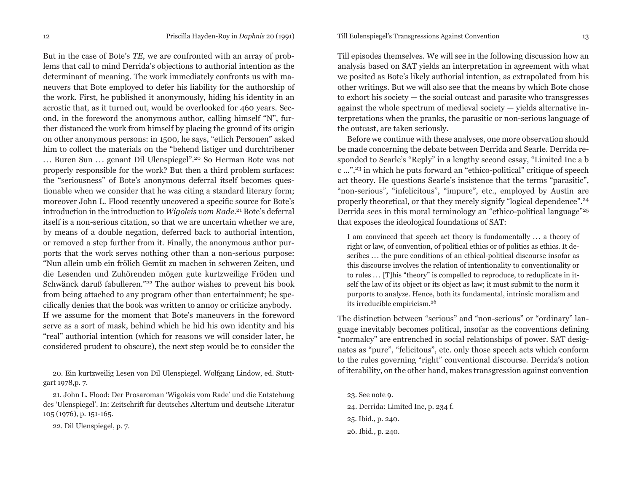But in the case of Bote's *TE*, we are confronted with an array of problems that call to mind Derrida's objections to authorial intention as the determinant of meaning. The work immediately confronts us with maneuvers that Bote employed to defer his liability for the authorship of the work. First, he published it anonymously, hiding his identity in an acrostic that, as it turned out, would be overlooked for 460 years. Second, in the foreword the anonymous author, calling himself "N", further distanced the work from himself by placing the ground of its origin on other anonymous persons: in 1500, he says, "etlich Personen" asked him to collect the materials on the "behend listiger und durchtribener ... Buren Sun ... genant Dil Ulenspiegel".<sup>20</sup> So Herman Bote was not properly responsible for the work? But then a third problem surfaces: the "seriousness" of Bote's anonymous deferral itself becomes questionable when we consider that he was citing a standard literary form; moreover John L. Flood recently uncovered a specific source for Bote's introduction in the introduction to *Wigoleis vom Rade*.<sup>21</sup> Bote's deferral itself is a non-serious citation, so that we are uncertain whether we are, by means of a double negation, deferred back to authorial intention, or removed a step further from it. Finally, the anonymous author purports that the work serves nothing other than a non-serious purpose: "Nun allein umb ein frölich Gemüt zu machen in schweren Zeiten, und die Lesenden und Zuhörenden mögen gute kurtzweilige Fröden und Schwänck daruß fabulleren."<sup>22</sup> The author wishes to prevent his book from being attached to any program other than entertainment; he specifically denies that the book was written to annoy or criticize anybody. If we assume for the moment that Bote's maneuvers in the foreword serve as a sort of mask, behind which he hid his own identity and his "real" authorial intention (which for reasons we will consider later, he considered prudent to obscure), the next step would be to consider the

20. Ein kurtzweilig Lesen von Dil Ulenspiegel. Wolfgang Lindow, ed. Stuttgart 1978,p. 7.

22. Dil Ulenspiegel, p. 7.

#### 12 Priscilla Hayden-Roy in *Daphnis* 20 (1991) Till Eulenspiegel's Transgressions Against Convention 13

Till episodes themselves. We will see in the following discussion how an analysis based on SAT yields an interpretation in agreement with what we posited as Bote's likely authorial intention, as extrapolated from his other writings. But we will also see that the means by which Bote chose to exhort his society — the social outcast and parasite who transgresses against the whole spectrum of medieval society — yields alternative interpretations when the pranks, the parasitic or non-serious language of the outcast, are taken seriously.

Before we continue with these analyses, one more observation should be made concerning the debate between Derrida and Searle. Derrida responded to Searle's "Reply" in a lengthy second essay, "Limited Inc a b c ...",23 in which he puts forward an "ethico-political" critique of speech act theory. He questions Searle's insistence that the terms "parasitic", "non-serious", "infelicitous", "impure", etc., employed by Austin are properly theoretical, or that they merely signify "logical dependence".24 Derrida sees in this moral terminology an "ethico-political language"25 that exposes the ideological foundations of SAT:

I am convinced that speech act theory is fundamentally . . . a theory of right or law, of convention, of political ethics or of politics as ethics. It describes ... the pure conditions of an ethical-political discourse insofar as this discourse involves the relation of intentionality to conventionality or to rules ... [T]his "theory" is compelled to reproduce, to reduplicate in itself the law of its object or its object as law; it must submit to the norm it purports to analyze. Hence, both its fundamental, intrinsic moralism and its irreducible empiricism.26

The distinction between "serious" and "non-serious" or "ordinary" language inevitably becomes political, insofar as the conventions defining "normalcy" are entrenched in social relationships of power. SAT designates as "pure", "felicitous", etc. only those speech acts which conform to the rules governing "right" conventional discourse. Derrida's notion of iterability, on the other hand, makes transgression against convention

23. See note 9. 24. Derrida: Limited Inc, p. 234 f. 25. Ibid., p. 240. 26. Ibid., p. 240.

<sup>21.</sup> John L. Flood: Der Prosaroman 'Wigoleis vom Rade' und die Entstehung des 'Ulenspiegel'. In: Zeitschrift für deutsches Altertum und deutsche Literatur 105 (1976), p. 151-165.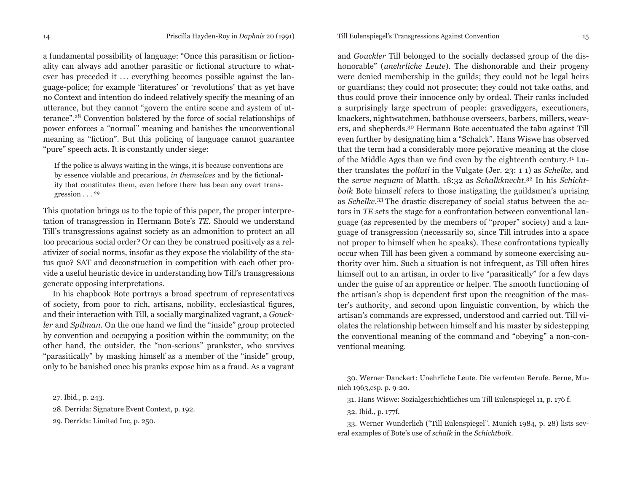a fundamental possibility of language: "Once this parasitism or fictionality can always add another parasitic or fictional structure to whatever has preceded it ... everything becomes possible against the language-police; for example 'literatures' or 'revolutions' that as yet have no Context and intention do indeed relatively specify the meaning of an utterance, but they cannot "govern the entire scene and system of utterance".28 Convention bolstered by the force of social relationships of power enforces a "normal" meaning and banishes the unconventional meaning as "fiction". But this policing of language cannot guarantee "pure" speech acts. It is constantly under siege:

If the police is always waiting in the wings, it is because conventions are by essence violable and precarious, *in themselves* and by the fictionality that constitutes them, even before there has been any overt transgression  $\ldots$  29

This quotation brings us to the topic of this paper, the proper interpretation of transgression in Hermann Bote's *TE*. Should we understand Till's transgressions against society as an admonition to protect an all too precarious social order? Or can they be construed positively as a relativizer of social norms, insofar as they expose the violability of the status quo? SAT and deconstruction in competition with each other provide a useful heuristic device in understanding how Till's transgressions generate opposing interpretations.

In his chapbook Bote portrays a broad spectrum of representatives of society, from poor to rich, artisans, nobility, ecclesiastical figures, and their interaction with Till, a socially marginalized vagrant, a *Gouckler* and *Spilman*. On the one hand we find the "inside" group protected by convention and occupying a position within the community; on the other hand, the outsider, the "non-serious" prankster, who survives "parasitically" by masking himself as a member of the "inside" group, only to be banished once his pranks expose him as a fraud. As a vagrant

29. Derrida: Limited Inc, p. 250.

and *Gouckler* Till belonged to the socially declassed group of the dishonorable" (*unehrliche Leute*). The dishonorable and their progeny were denied membership in the guilds; they could not be legal heirs or guardians; they could not prosecute; they could not take oaths, and thus could prove their innocence only by ordeal. Their ranks included a surprisingly large spectrum of people: gravediggers, executioners, knackers, nightwatchmen, bathhouse overseers, barbers, millers, weavers, and shepherds.30 Hermann Bote accentuated the tabu against Till even further by designating him a "Schalck". Hans Wiswe has observed that the term had a considerably more pejorative meaning at the close of the Middle Ages than we find even by the eighteenth century.<sup>31</sup> Luther translates the *polluti* in the Vulgate (Jer. 23: 1 1) as *Schelke*, and the *serve nequam* of Matth. 18:32 as *Schalkknecht*.32 In his *Schichtboik* Bote himself refers to those instigating the guildsmen's uprising as *Schelke*.33 The drastic discrepancy of social status between the actors in *TE* sets the stage for a confrontation between conventional language (as represented by the members of "proper" society) and a language of transgression (necessarily so, since Till intrudes into a space not proper to himself when he speaks). These confrontations typically occur when Till has been given a command by someone exercising authority over him. Such a situation is not infrequent, as Till often hires himself out to an artisan, in order to live "parasitically" for a few days under the guise of an apprentice or helper. The smooth functioning of the artisan's shop is dependent first upon the recognition of the master's authority, and second upon linguistic convention, by which the artisan's commands are expressed, understood and carried out. Till violates the relationship between himself and his master by sidestepping the conventional meaning of the command and "obeying" a non-conventional meaning.

30. Werner Danckert: Unehrliche Leute. Die verfemten Berufe. Berne, Munich 1963,esp. p. 9-20.

31. Hans Wiswe: Sozialgeschichtliches um Till Eulenspiegel 11, p. 176 f.

32. Ibid., p. 177f.

33. Werner Wunderlich ("Till Eulenspiegel". Munich 1984, p. 28) lists several examples of Bote's use of *schalk* in the *Schichtboik.* 

<sup>27.</sup> Ibid., p. 243.

<sup>28.</sup> Derrida: Signature Event Context, p. 192.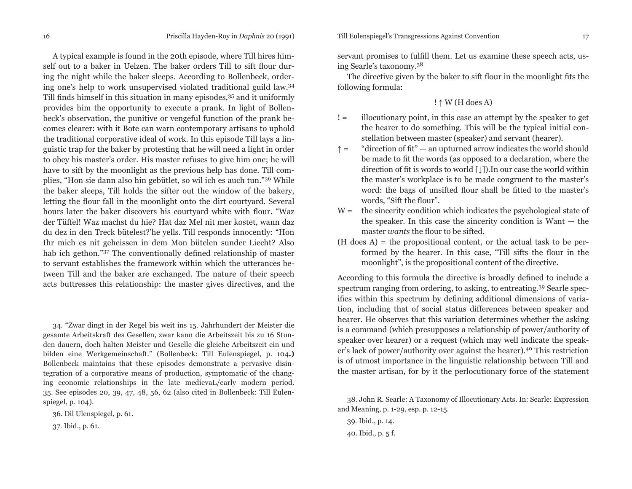A typical example is found in the 20th episode, where Till hires himself out to a baker in Uelzen. The baker orders Till to sift flour during the night while the baker sleeps. According to Bollenbeck, ordering one's help to work unsupervised violated traditional guild law.34 Till finds himself in this situation in many episodes,<sup>35</sup> and it uniformly provides him the opportunity to execute a prank. In light of Bollenbeck's observation, the punitive or vengeful function of the prank becomes clearer: with it Bote can warn contemporary artisans to uphold the traditional corporative ideal of work. In this episode Till lays a linguistic trap for the baker by protesting that he will need a light in order to obey his master's order. His master refuses to give him one; he will have to sift by the moonlight as the previous help has done. Till com<sup>p</sup>lies, "Hon sie dann also hin gebütlet, so wil ich es auch tun."36 While the baker sleeps, Till holds the sifter out the window of the bakery, letting the flour fall in the moonlight onto the dirt courtyard. Several hours later the baker discovers his courtyard white with flour. "Waz der Tüffel! Waz machst du hie? Hat daz Mel nit mer kostet, wann daz du dez in den Treck bütelest?'he yells. Till responds innocently: "Hon Ihr mich es nit geheissen in dem Mon bütelen sunder Liecht? Also hab ich gethon."<sup>37</sup> The conventionally defined relationship of master to servant establishes the framework within which the utterances between Till and the baker are exchanged. The nature of their speech acts buttresses this relationship: the master gives directives, and the

34. "Zwar dingt in der Regel bis weit ins 15. Jahrhundert der Meister die gesamte Arbeitskraft des Gesellen, zwar kann die Arbeitszeit bis zu 16 Stunden dauern, doch halten Meister und Geselle die gleiche Arbeitszeit ein und bilden eine Werkgemeinschaft." (Bollenbeck: Till Eulenspiegel, p. 104**.)**  Bollenbeck maintains that these episodes demonstrate a pervasive disintegration of a corporative means of production, symptomatic of the changing economic relationships in the late medievaL/early modern period. 35. See episodes 20, 39, 47, 48, 56, 62 (also cited in Bollenbeck: Till Eulenspiegel, p. 104).

36. Dil Ulenspiegel, p. 61.

37. Ibid., p. 61.

servant promises to fulfill them. Let us examine these speech acts, using Searle's taxonomy.38

The directive given by the baker to sift flour in the moonlight fits the following formula:

# ! ↑ W (H does A)

- ! = illocutionary point, in this case an attempt by the speaker to get the hearer to do something. This will be the typical initial constellation between master (speaker) and servant (hearer).
- $\uparrow$  = "direction of fit" an upturned arrow indicates the world should be made to fi t the words (as opposed to a declaration, where the direction of fit is words to world [↓]).In our case the world within the master's workplace is to be made congruent to the master's word: the bags of unsifted flour shall be fitted to the master's words, "Sift the flour".
- $W =$  the sincerity condition which indicates the psychological state of the speaker. In this case the sincerity condition is Want — the master *wants* the flour to be sifted.
- (H does A) = the propositional content, or the actual task to be performed by the hearer. In this case, "Till sifts the flour in the moonlight", is the propositional content of the directive.

According to this formula the directive is broadly defined to include a spectrum ranging from ordering, to asking, to entreating.39 Searle specifies within this spectrum by defining additional dimensions of variation, including that of social status differences between speaker and hearer. He observes that this variation determines whether the asking is a command (which presupposes a relationship of power/authority of speaker over hearer) or a request (which may well indicate the speaker's lack of power/authority over against the hearer).40 This restriction is of utmost importance in the linguistic relationship between Till and the master artisan, for by it the perlocutionary force of the statement

39. Ibid., p. 14. 40. Ibid., p. 5 f.

<sup>38.</sup> John R. Searle: A Taxonomy of Illocutionary Acts. In: Searle: Expression and Meaning, p. 1-29, esp. p. 12-15.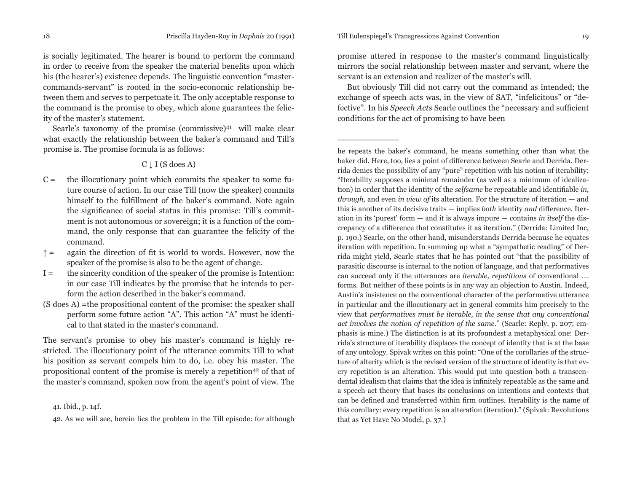is socially legitimated. The hearer is bound to perform the command in order to receive from the speaker the material benefits upon which his (the hearer's) existence depends. The linguistic convention "mastercommands-servant" is rooted in the socio-economic relationship between them and serves to perpetuate it. The only acceptable response to the command is the promise to obey, which alone guarantees the felicity of the master's statement.

Searle's taxonomy of the promise (commissive) $41$  will make clear what exactly the relationship between the baker's command and Till's promise is. The promise formula is as follows:

# $C \downarrow I$  (S does A)

- $C =$ the illocutionary point which commits the speaker to some future course of action. In our case Till (now the speaker) commits himself to the fulfillment of the baker's command. Note again the significance of social status in this promise: Till's commitment is not autonomous or sovereign; it is a function of the command, the only response that can guarantee the felicity of the command.
- $\uparrow$  = again the direction of fit is world to words. However, now the speaker of the promise is also to be the agent of change.
- I = the sincerity condition of the speaker of the promise is Intention: in our case Till indicates by the promise that he intends to perform the action described in the baker's command.
- (S does A) =the propositional content of the promise: the speaker shall perform some future action "A". This action "A" must be identical to that stated in the master's command.

The servant's promise to obey his master's command is highly restricted. The illocutionary point of the utterance commits Till to what his position as servant compels him to do, i.e. obey his master. The propositional content of the promise is merely a repetition<sup>42</sup> of that of the master's command, spoken now from the agent's point of view. The

41. Ibid., p. 14f.

42. As we will see, herein lies the problem in the Till episode: for although

promise uttered in response to the master's command linguistically mirrors the social relationship between master and servant, where the servant is an extension and realizer of the master's will.

But obviously Till did not carry out the command as intended; the exchange of speech acts was, in the view of SAT, "infelicitous" or "defective". In his *Speech Acts* Searle outlines the "necessary and sufficient conditions for the act of promising to have been

he repeats the baker's command, he means something other than what the baker did. Here, too, lies a point of difference between Searle and Derrida. Derrida denies the possibility of any "pure" repetition with his notion of iterability: "Iterability supposes a minimal remainder (as well as a minimum of idealization) in order that the identity of the *selfsame* be repeatable and identifiable *in*, *through,* and even *in view of* its alteration. For the structure of iteration — and this is another of its decisive traits — implies *both* identity *and* difference. Iteration in its 'purest' form — and it is always impure — contains *in itself* the discrepancy of a difference that constitutes it as iteration.'' (Derrida: Limited Inc, p. 190.) Searle, on the other hand, misunderstands Derrida because he equates iteration with repetition. In summing up what a "sympathetic reading" of Derrida might yield, Searle states that he has pointed out "that the possibility of parasitic discourse is internal to the notion of language, and that performatives can succeed only if the utterances are *iterable, repetitions* of conventional ... forms. But neither of these points is in any way an objection to Austin. Indeed, Austin's insistence on the conventional character of the performative utterance in particular and the illocutionary act in general commits him precisely to the view that *performatives must be iterable, in the sense that any conventional act involves the notion of repetition of the same.*" (Searle: Reply, p. 207; emphasis is mine.) The distinction is at its profoundest a metaphysical one: Derrida's structure of iterability displaces the concept of identity that is at the base of any ontology. Spivak writes on this point: "One of the corollaries of the structure of alterity which is the revised version of the structure of identity is that every repetition is an alteration. This would put into question both a transcendental idealism that claims that the idea is in fi nitely repeatable as the same and a speech act theory that bases its conclusions on intentions and contexts that can be defined and transferred within firm outlines. Iterability is the name of this corollary: every repetition is an alteration (iteration)." (Spivak: Revolutions that as Yet Have No Model, p. 37.)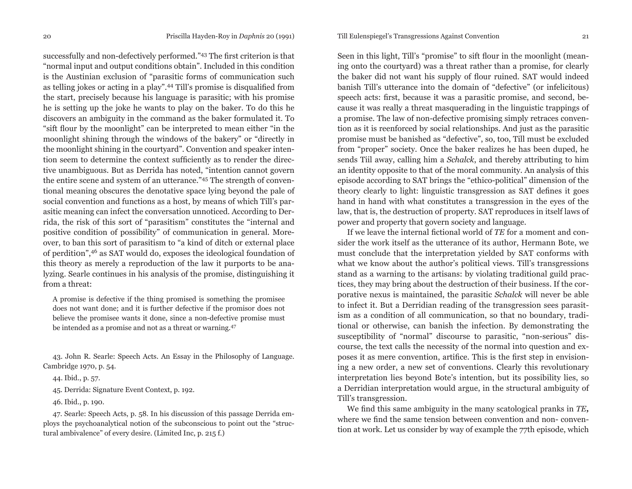successfully and non-defectively performed."<sup>43</sup> The first criterion is that "normal input and output conditions obtain". Included in this condition is the Austinian exclusion of "parasitic forms of communication such as telling jokes or acting in a play".<sup>44</sup> Till's promise is disqualified from the start, precisely because his language is parasitic; with his promise he is setting up the joke he wants to play on the baker. To do this he discovers an ambiguity in the command as the baker formulated it. To "sift flour by the moonlight" can be interpreted to mean either "in the moonlight shining through the windows of the bakery" or "directly in the moonlight shining in the courtyard". Convention and speaker intention seem to determine the context sufficiently as to render the directive unambiguous. But as Derrida has noted, "intention cannot govern the entire scene and system of an utterance."45 The strength of conventional meaning obscures the denotative space lying beyond the pale of social convention and functions as a host, by means of which Till's parasitic meaning can infect the conversation unnoticed. According to Derrida, the risk of this sort of "parasitism" constitutes the "internal and positive condition of possibility" of communication in general. Moreover, to ban this sort of parasitism to "a kind of ditch or external place of perditi0n",46 as SAT would do, exposes the ideological foundation of this theory as merely a reproduction of the law it purports to be analyzing. Searle continues in his analysis of the promise, distinguishing it from a threat:

A promise is defective if the thing promised is something the promisee does not want done; and it is further defective if the promisor does not believe the promisee wants it done, since a non-defective promise must be intended as a promise and not as a threat or warning.47

43. John R. Searle: Speech Acts. An Essay in the Philosophy of Language. Cambridge 1970, p. 54.

44. Ibid., p. 57.

45. Derrida: Signature Event Context, p. 192.

46. Ibid., p. 190.

47. Searle: Speech Acts, p. 58. In his discussion of this passage Derrida employs the psychoanalytical notion of the subconscious to point out the "structural ambivalence" of every desire. (Limited Inc, p. 215 f.)

#### 20 Priscilla Hayden-Roy in *Daphnis* 20 (1991) Till Eulenspiegel's Transgressions Against Convention 21

Seen in this light, Till's "promise" to sift flour in the moonlight (meaning onto the courtyard) was a threat rather than a promise, for clearly the baker did not want his supply of flour ruined. SAT would indeed banish Till's utterance into the domain of "defective" (or infelicitous) speech acts: first, because it was a parasitic promise, and second, because it was really a threat masquerading in the linguistic trappings of a promise. The law of non-defective promising simply retraces convention as it is reenforced by social relationships. And just as the parasitic promise must be banished as "defective", so, too, Till must be excluded from "proper" society. Once the baker realizes he has been duped, he sends Tiil away, calling him a *Schalck*, and thereby attributing to him an identity opposite to that of the moral community. An analysis of this episode according to SAT brings the "ethico-political" dimension of the theory clearly to light: linguistic transgression as SAT defines it goes hand in hand with what constitutes a transgression in the eyes of the law, that is, the destruction of property. SAT reproduces in itself laws of power and property that govern society and language.

If we leave the internal fictional world of *TE* for a moment and consider the work itself as the utterance of its author, Hermann Bote, we must conclude that the interpretation yielded by SAT conforms with what we know about the author's political views. Till's transgressions stand as a warning to the artisans: by violating traditional guild practices, they may bring about the destruction of their business. If the corporative nexus is maintained, the parasitic *Schalck* will never be able to infect it. But a Derridian reading of the transgression sees parasitism as a condition of all communication, so that no boundary, traditional or otherwise, can banish the infection. By demonstrating the susceptibility of "normal" discourse to parasitic, "non-serious" discourse, the text calls the necessity of the normal into question and exposes it as mere convention, artifice. This is the first step in envisioning a new order, a new set of conventions. Clearly this revolutionary interpretation lies beyond Bote's intention, but its possibility lies, so a Derridian interpretation would argue, in the structural ambiguity of Till's transgression.

We find this same ambiguity in the many scatological pranks in *TE*, where we find the same tension between convention and non-convention at work. Let us consider by way of example the 77th episode, which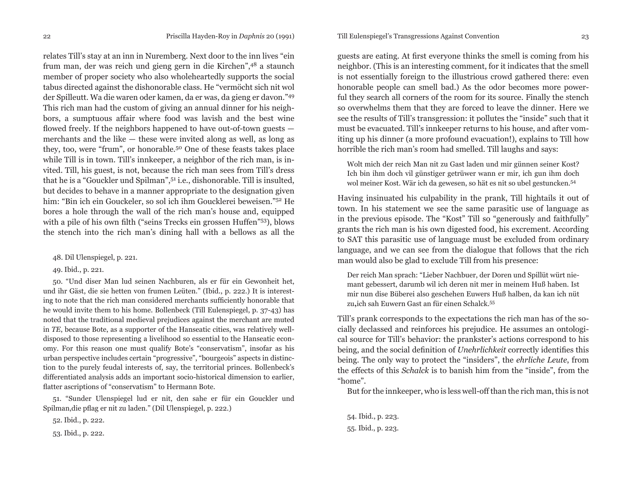relates Till's stay at an inn in Nuremberg. Next door to the inn lives "ein frum man, der was reich und gieng gern in die Kirchen",48 a staunch member of proper society who also wholeheartedly supports the social tabus directed against the dishonorable class. He "vermöcht sich nit wol der Spilleutt. Wa die waren oder kamen, da er was, da gieng er davon."49 This rich man had the custom of giving an annual dinner for his neighbors, a sumptuous affair where food was lavish and the best wine flowed freely. If the neighbors happened to have out-of-town guests  $$ merchants and the like — these were invited along as well, as long as they, too, were "frum", or honorable.50 One of these feasts takes place while Till is in town. Till's innkeeper, a neighbor of the rich man, is invited. Till, his guest, is not, because the rich man sees from Till's dress that he is a "Gouckler und Spilman",51 i.e., dishonorable. Till is insulted, but decides to behave in a manner appropriate to the designation given him: "Bin ich ein Gouckeler, so sol ich ihm Goucklerei beweisen."52 He bores a hole through the wall of the rich man's house and, equipped with a pile of his own filth ("seins Trecks ein grossen Huffen"<sup>53</sup>), blows the stench into the rich man's dining hall with a bellows as all the

48. Dil Ulenspiegel, p. 221.

49. Ibid., p. 221.

50. "Und diser Man lud seinen Nachburen, als er für ein Gewonheit het, und ihr Gäst, die sie hetten von frumen Leüten." (Ibid., p. 222.) It is interesting to note that the rich man considered merchants sufficiently honorable that he would invite them to his home. Bollenbeck (Till Eulenspiegel, p. 37-43) has noted that the traditional medieval prejudices against the merchant are muted in *TE*, because Bote, as a supporter of the Hanseatic cities, was relatively welldisposed to those representing a livelihood so essential to the Hanseatic economy. For this reason one must qualify Bote's "conservatism", insofar as his urban perspective includes certain "progressive", "bourgeois" aspects in distinction to the purely feudal interests of, say, the territorial princes. Bollenbeck's differentiated analysis adds an important socio-historical dimension to earlier, flatter ascriptions of "conservatism" to Hermann Bote.

51. "Sunder Ulenspiegel lud er nit, den sahe er für ein Gouckler und Spilman,die pflag er nit zu laden." (Dil Ulenspiegel, p. 222.)

52. Ibid., p. 222.

53. Ibid., p. 222.

22 Priscilla Hayden-Roy in *Daphnis* 20 (1991) Till Eulenspiegel's Transgressions Against Convention 23

guests are eating. At first everyone thinks the smell is coming from his neighbor. (This is an interesting comment, for it indicates that the smell is not essentially foreign to the illustrious crowd gathered there: even honorable people can smell bad.) As the odor becomes more powerful they search all corners of the room for its source. Finally the stench so overwhelms them that they are forced to leave the dinner. Here we see the results of Till's transgression: it pollutes the "inside" such that it must be evacuated. Till's innkeeper returns to his house, and after vomiting up his dinner (a more profound evacuation!), explains to Till how horrible the rich man's room had smelled. Till laughs and says:

Wolt mich der reich Man nit zu Gast laden und mir günnen seiner Kost? Ich bin ihm doch vil günstiger getrüwer wann er mir, ich gun ihm doch wol meiner Kost. Wär ich da gewesen, so hät es nit so ubel gestuncken.54

Having insinuated his culpability in the prank, Till hightails it out of town. In his statement we see the same parasitic use of language as in the previous episode. The "Kost" Till so "generously and faithfully" grants the rich man is his own digested food, his excrement. According to SAT this parasitic use of language must be excluded from ordinary language, and we can see from the dialogue that follows that the rich man would also be glad to exclude Till from his presence:

Der reich Man sprach: "Lieber Nachbuer, der Doren und Spillüt würt niemant gebessert, darumb wil ich deren nit mer in meinem Huß haben. Ist mir nun dise Büberei also geschehen Euwers Huß halben, da kan ich nüt zu**,**ich sah Euwern Gast an für einen Schalck.55

Till's prank corresponds to the expectations the rich man has of the socially declassed and reinforces his prejudice. He assumes an ontological source for Till's behavior: the prankster's actions correspond to his being, and the social definition of *Unehrlichkeit* correctly identifies this being. The only way to protect the "insiders", the *ehrliche Leute*, from the effects of this *Schalck* is to banish him from the "inside", from the "home".

But for the innkeeper, who is less well-off than the rich man, this is not

54. Ibid., p. 223. 55. Ibid., p. 223.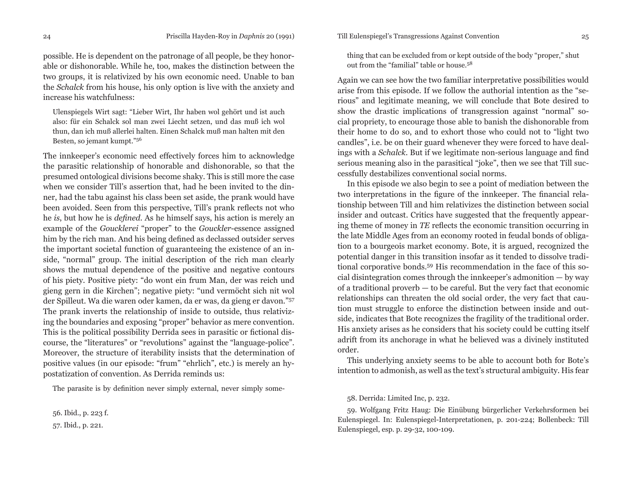possible. He is dependent on the patronage of all people, be they honorable or dishonorable. While he, too, makes the distinction between the two groups, it is relativized by his own economic need. Unable to ban the *Schalck* from his house, his only option is live with the anxiety and increase his watchfulness:

Ulenspiegels Wirt sagt: "Lieber Wirt, Ihr haben wol gehört und ist auch also: für ein Schalck sol man zwei Liecht setzen, und das muß ich wol thun, dan ich muß allerlei halten. Einen Schalck muß man halten mit den Besten, so jemant kumpt."56

The innkeeper's economic need effectively forces him to acknowledge the parasitic relationship of honorable and dishonorable, so that the presumed ontological divisions become shaky. This is still more the case when we consider Till's assertion that, had he been invited to the dinner, had the tabu against his class been set aside, the prank would have been avoided. Seen from this perspective, Till's prank reflects not who he *is*, but how he is *defined*. As he himself says, his action is merely an example of the *Goucklerei* "proper" to the *Gouckler*-essence assigned him by the rich man. And his being defined as declassed outsider serves the important societal function of guaranteeing the existence of an inside, "normal" group. The initial description of the rich man clearly shows the mutual dependence of the positive and negative contours of his piety. Positive piety: "do wont ein frum Man, der was reich und gieng gern in die Kirchen"; negative piety: "und vermöcht sich nit wol der Spilleut. Wa die waren oder kamen, da er was, da gieng er davon."57 The prank inverts the relationship of inside to outside, thus relativizing the boundaries and exposing "proper" behavior as mere convention. This is the political possibility Derrida sees in parasitic or fictional discourse, the "literatures" or "revolutions" against the "language-police". Moreover, the structure of iterability insists that the determination of positive values (in our episode: "frum" "ehrlich", etc.) is merely an hypostatization of convention. As Derrida reminds us:

The parasite is by definition never simply external, never simply some-

56. Ibid., p. 223 f. 57. Ibid., p. 221.

thing that can be excluded from or kept outside of the body "proper," shut out from the "familial" table or house.58

Again we can see how the two familiar interpretative possibilities would arise from this episode. If we follow the authorial intention as the "serious" and legitimate meaning, we will conclude that Bote desired to show the drastic implications of transgression against "normal" social propriety, to encourage those able to banish the dishonorable from their home to do so, and to exhort those who could not to "light two candles", i.e. be on their guard whenever they were forced to have dealings with a *Schalck*. But if we legitimate non-serious language and find serious meaning also in the parasitical "joke", then we see that Till successfully destabilizes conventional social norms.

In this episode we also begin to see a point of mediation between the two interpretations in the figure of the innkeeper. The financial relationship between Till and him relativizes the distinction between social insider and outcast. Critics have suggested that the frequently appearing theme of money in *TE* reflects the economic transition occurring in the late Middle Ages from an economy rooted in feudal bonds of obligation to a bourgeois market economy. Bote, it is argued, recognized the potential danger in this transition insofar as it tended to dissolve traditional corporative bonds.59 His recommendation in the face of this social disintegration comes through the innkeeper's admonition — by way of a traditional proverb — to be careful. But the very fact that economic relationships can threaten the old social order, the very fact that caution must struggle to enforce the distinction between inside and outside, indicates that Bote recognizes the fragility of the traditional order. His anxiety arises as he considers that his society could be cutting itself adrift from its anchorage in what he believed was a divinely instituted order.

This underlying anxiety seems to be able to account both for Bote's intention to admonish, as well as the text's structural ambiguity. His fear

58. Derrida: Limited Inc, p. 232.

59. Wolfgang Fritz Haug: Die Einübung bürgerlicher Verkehrsformen bei Eulenspiegel. In: Eulenspiegel-Interpretationen, p. 201-224; Bollenbeck: Till Eulenspiegel, esp. p. 29-32, 100-109.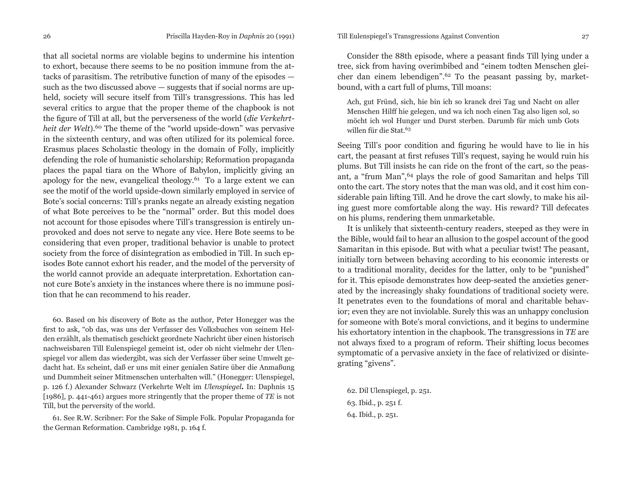that all societal norms are violable begins to undermine his intention to exhort, because there seems to be no position immune from the attacks of parasitism. The retributive function of many of the episodes such as the two discussed above — suggests that if social norms are upheld, society will secure itself from Till's transgressions. This has led several critics to argue that the proper theme of the chapbook is not the figure of Till at all, but the perverseness of the world (*die Verkehrtheit der Welt*).<sup>60</sup> The theme of the "world upside-down" was pervasive in the sixteenth century, and was often utilized for its polemical force. Erasmus places Scholastic theology in the domain of Folly, implicitly defending the role of humanistic scholarship; Reformation propaganda places the papal tiara on the Whore of Babylon, implicitly giving an apology for the new, evangelical theology.<sup>61</sup> To a large extent we can see the motif of the world upside-down similarly employed in service of Bote's social concerns: Till's pranks negate an already existing negation of what Bote perceives to be the "normal" order. But this model does not account for those episodes where Till's transgression is entirely unprovoked and does not serve to negate any vice. Here Bote seems to be considering that even proper, traditional behavior is unable to protect society from the force of disintegration as embodied in Till. In such episodes Bote cannot exhort his reader, and the model of the perversity of the world cannot provide an adequate interpretation. Exhortation cannot cure Bote's anxiety in the instances where there is no immune position that he can recommend to his reader.

60. Based on his discovery of Bote as the author, Peter Honegger was the first to ask, "ob das, was uns der Verfasser des Volksbuches von seinem Helden erzählt, als thematisch geschickt geordnete Nachricht über einen historisch nachweisbaren Till Eulenspiegel gemeint ist, oder ob nicht vielmehr der Ulenspiegel vor allem das wiedergibt, was sich der Verfasser über seine Umwelt gedacht hat. Es scheint, daß er uns mit einer genialen Satire über die Anmaßung und Dummheit seiner Mitmenschen unterhalten will." (Honegger: Ulenspiegel, p. 126 f.) Alexander Schwarz (Verkehrte Welt im *Ulenspiegel.* In: Daphnis 15 [1986], p. 441-461) argues more stringently that the proper theme of *TE* is not Till, but the perversity of the world.

61. See R.W. Scribner: For the Sake of Simple Folk. Popular Propaganda for the German Reformation. Cambridge 1981, p. 164 f.

# 26 Priscilla Hayden-Roy in *Daphnis* 20 (1991) Till Eulenspiegel's Transgressions Against Convention 27

Consider the 88th episode, where a peasant finds Till lying under a tree, sick from having overimbibed and "einem todten Menschen gleicher dan einem lebendigen".62 To the peasant passing by, marketbound, with a cart full of plums, Till moans:

Ach, gut Fründ, sich, hie bin ich so kranck drei Tag und Nacht on aller Menschen Hilff hie gelegen, und wa ich noch einen Tag also ligen sol, so möcht ich wol Hunger und Durst sterben. Darumb für mich umb Gots willen für die Stat.<sup>63</sup>

Seeing Till's poor condition and figuring he would have to lie in his cart, the peasant at first refuses Till's request, saying he would ruin his plums. But Till insists he can ride on the front of the cart, so the peasant, a "frum Man",64 plays the role of good Samaritan and helps Till onto the cart. The story notes that the man was old, and it cost him considerable pain lifting Till. And he drove the cart slowly, to make his ailing guest more comfortable along the way. His reward? Till defecates on his plums, rendering them unmarketable.

It is unlikely that sixteenth-century readers, steeped as they were in the Bible, would fail to hear an allusion to the gospel account of the good Samaritan in this episode. But with what a peculiar twist! The peasant, initially torn between behaving according to his economic interests or to a traditional morality, decides for the latter, only to be "punished" for it. This episode demonstrates how deep-seated the anxieties generated by the increasingly shaky foundations of traditional society were. It penetrates even to the foundations of moral and charitable behavior; even they are not inviolable. Surely this was an unhappy conclusion for someone with Bote's moral convictions, and it begins to undermine his exhortatory intention in the chapbook. The transgressions in *TE* are not always fixed to a program of reform. Their shifting locus becomes symptomatic of a pervasive anxiety in the face of relativized or disintegrating "givens".

62. Dil Ulenspiegel, p. 251. 63. Ibid., p. 251 f. 64. Ibid., p. 251.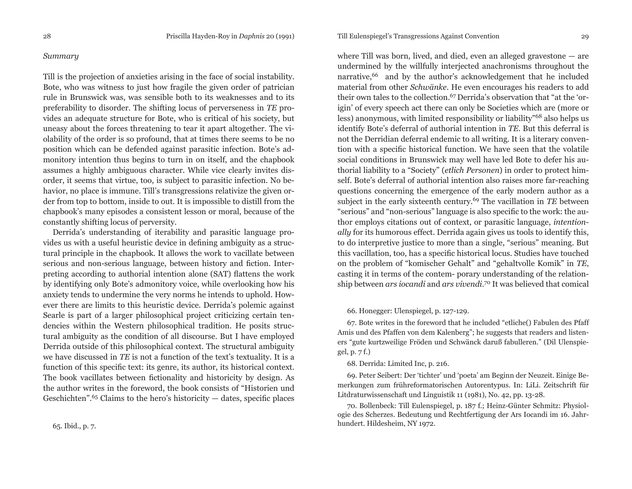## *Summary*

Till is the projection of anxieties arising in the face of social instability. Bote, who was witness to just how fragile the given order of patrician rule in Brunswick was, was sensible both to its weaknesses and to its preferability to disorder. The shifting locus of perverseness in *TE* provides an adequate structure for Bote, who is critical of his society, but uneasy about the forces threatening to tear it apart altogether. The violability of the order is so profound, that at times there seems to be no position which can be defended against parasitic infection. Bote's admonitory intention thus begins to turn in on itself, and the chapbook assumes a highly ambiguous character. While vice clearly invites disorder, it seems that virtue, too, is subject to parasitic infection. No behavior, no place is immune. Till's transgressions relativize the given order from top to bottom, inside to out. It is impossible to distill from the chapbook's many episodes a consistent lesson or moral, because of the constantly shifting locus of perversity.

Derrida's understanding of iterability and parasitic language provides us with a useful heuristic device in defining ambiguity as a structural principle in the chapbook. It allows the work to vacillate between serious and non-serious language, between history and fiction. Interpreting according to authorial intention alone (SAT) flattens the work by identifying only Bote's admonitory voice, while overlooking how his anxiety tends to undermine the very norms he intends to uphold. However there are limits to this heuristic device. Derrida's polemic against Searle is part of a larger philosophical project criticizing certain tendencies within the Western philosophical tradition. He posits structural ambiguity as the condition of all discourse. But I have employed Derrida outside of this philosophical context. The structural ambiguity we have discussed in *TE* is not a function of the text's textuality. It is a function of this specific text: its genre, its author, its historical context. The book vacillates between fictionality and historicity by design. As the author writes in the foreword, the book consists of "Historien und Geschichten".<sup>65</sup> Claims to the hero's historicity  $-$  dates, specific places

## 28 Priscilla Hayden-Roy in *Daphnis* 20 (1991) Till Eulenspiegel's Transgressions Against Convention 29

where Till was born, lived, and died, even an alleged gravestone — are undermined by the willfully interjected anachronisms throughout the narrative,<sup>66</sup> and by the author's acknowledgement that he included material from other *Schwänke*. He even encourages his readers to add their own tales to the collection.<sup>67</sup> Derrida's observation that "at the 'origin' of every speech act there can only be Societies which are (more or less) anonymous, with limited responsibility or liability"68 also helps us identify Bote's deferral of authorial intention in *TE*. But this deferral is not the Derridian deferral endemic to all writing. It is a literary convention with a specific historical function. We have seen that the volatile social conditions in Brunswick may well have led Bote to defer his authorial liability to a "Society" (*etlich Personen*) in order to protect himself. Bote's deferral of authorial intention also raises more far-reaching questions concerning the emergence of the early modern author as a subject in the early sixteenth century.69 The vacillation in *TE* between "serious" and "non-serious" language is also specific to the work: the author employs citations out of context, or parasitic language, *intentionally* for its humorous effect. Derrida again gives us tools to identify this, to do interpretive justice to more than a single, "serious" meaning. But this vacillation, too, has a specific historical locus. Studies have touched on the problem of "komischer Gehalt" and "gehaltvolle Komik" in *TE*, casting it in terms of the contem- porary understanding of the relationship between *ars iocandi* and *ars vivendi*.70 It was believed that comical

66. Honegger: Ulenspiegel, p. 127-129.

67. Bote writes in the foreword that he included "etliche() Fabulen des Pfaff Amis und des Pfaffen von dem Kalenberg"; he suggests that readers and listeners "gute kurtzweilige Fröden und Schwänck daruß fabulleren." (Dil Ulenspiegel, p. 7 f.)

68. Derrida: Limited Inc, p. 216.

69. Peter Seibert: Der 'tichter' und 'poeta' am Beginn der Neuzeit. Einige Bemerkungen zum frühreformatorischen Autorentypus. In: LiLi. Zeitschrift für Litdraturwissenschaft und Linguistik 11 (1981), No. 42, pp. 13-28.

70. Bollenbeck: Till Eulenspiegel, p. 187 f.; Heinz-Günter Schmitz: Physiologie des Scherzes. Bedeutung und Rechtfertigung der Ars Iocandi im 16. Jahrhundert. Hildesheim, NY 1972.